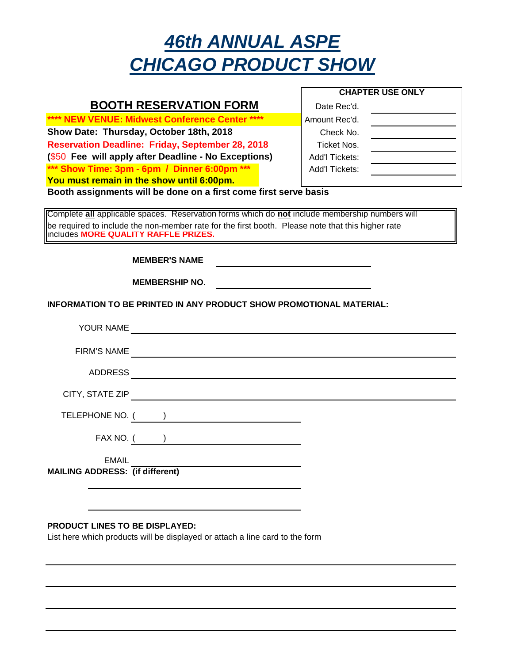## *46th ANNUAL ASPE CHICAGO PRODUCT SHOW*

|                                                                                                   | <b>CHAPTER USE ONLY</b> |  |
|---------------------------------------------------------------------------------------------------|-------------------------|--|
| <b>BOOTH RESERVATION FORM</b>                                                                     | Date Rec'd.             |  |
| **** NEW VENUE: Midwest Conference Center ****                                                    | Amount Rec'd.           |  |
| Show Date: Thursday, October 18th, 2018                                                           | Check No.               |  |
| <b>Reservation Deadline: Friday, September 28, 2018</b>                                           | Ticket Nos.             |  |
| (\$50 Fee will apply after Deadline - No Exceptions)                                              | Add'l Tickets:          |  |
| *** Show Time: 3pm - 6pm / Dinner 6:00pm ***                                                      | Add'l Tickets:          |  |
| You must remain in the show until 6:00pm.                                                         |                         |  |
| Booth assignments will be done on a first come first serve basis                                  |                         |  |
| Complete all applicable spaces. Reservation forms which do not include membership numbers will    |                         |  |
| be required to include the non-member rate for the first booth. Please note that this higher rate |                         |  |
| includes MORE QUALITY RAFFLE PRIZES.                                                              |                         |  |
|                                                                                                   |                         |  |
| <b>MEMBER'S NAME</b>                                                                              |                         |  |
| <b>MEMBERSHIP NO.</b>                                                                             |                         |  |
| the control of the control of the control of the control of the control of                        |                         |  |
| INFORMATION TO BE PRINTED IN ANY PRODUCT SHOW PROMOTIONAL MATERIAL:                               |                         |  |
|                                                                                                   |                         |  |
|                                                                                                   |                         |  |
| <b>FIRM'S NAME</b>                                                                                |                         |  |
|                                                                                                   |                         |  |
|                                                                                                   |                         |  |
| CITY, STATE ZIP                                                                                   |                         |  |
|                                                                                                   |                         |  |
| TELEPHONE NO. ( )                                                                                 |                         |  |
|                                                                                                   |                         |  |
| FAX NO. $($ $)$                                                                                   |                         |  |
| <b>EMAIL</b>                                                                                      |                         |  |
| <b>MAILING ADDRESS:</b> (if different)                                                            |                         |  |
|                                                                                                   |                         |  |
|                                                                                                   |                         |  |

## **PRODUCT LINES TO BE DISPLAYED:**

List here which products will be displayed or attach a line card to the form